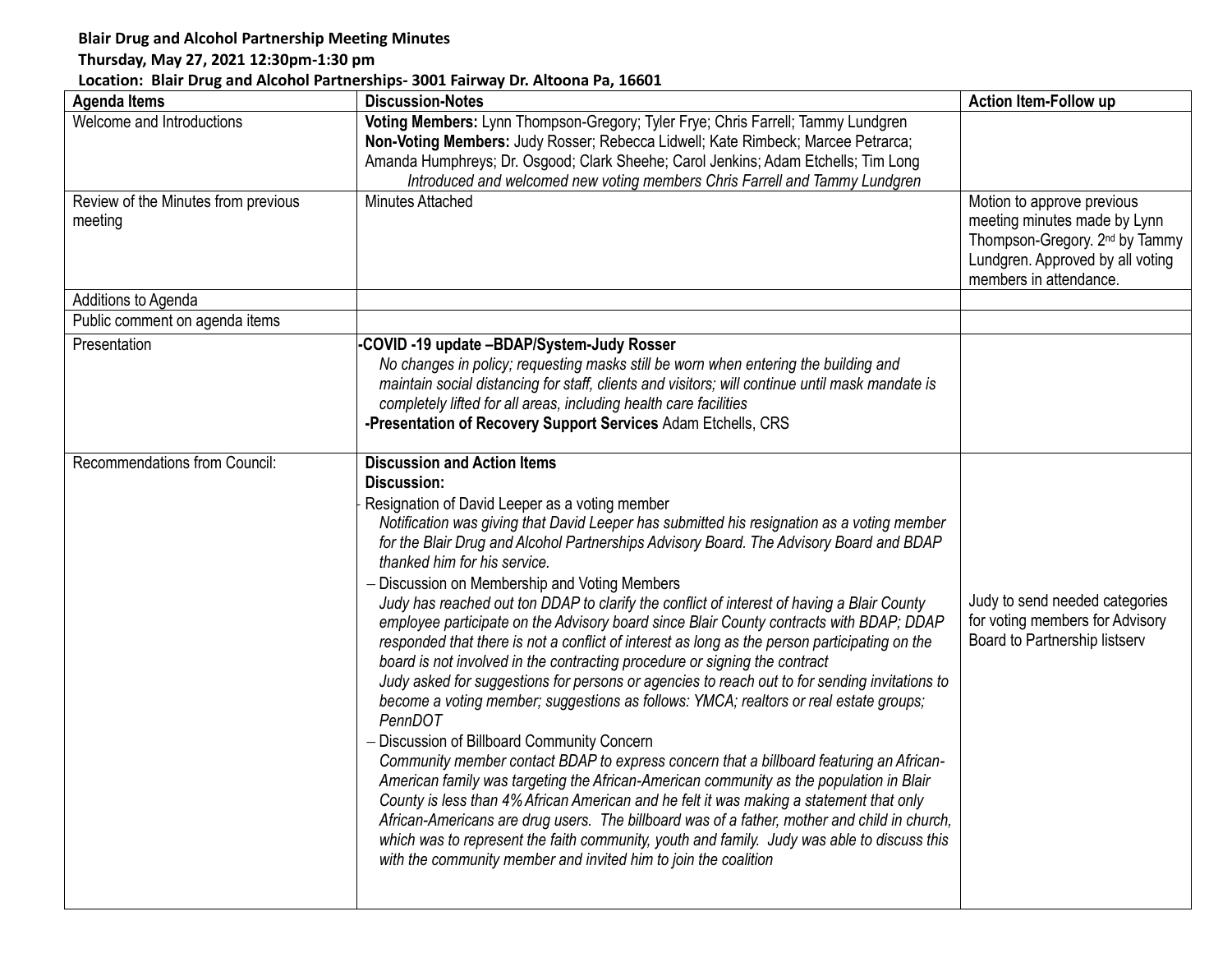## **Blair Drug and Alcohol Partnership Meeting Minutes**

## **Thursday, May 27, 2021 12:30pm-1:30 pm**

## **Location: Blair Drug and Alcohol Partnerships- 3001 Fairway Dr. Altoona Pa, 16601**

| <b>Agenda Items</b>                            | <b>Discussion-Notes</b>                                                                                                                                                                                                                                                                                                                                                                                                                                                                                                                                                                                                                                                                                                                                                                                                                                                                                                                                                                                                                                                                                                                                                                                                                                                                                                                                                                                                                                                                                                                                  | <b>Action Item-Follow up</b>                                                                                                                                           |
|------------------------------------------------|----------------------------------------------------------------------------------------------------------------------------------------------------------------------------------------------------------------------------------------------------------------------------------------------------------------------------------------------------------------------------------------------------------------------------------------------------------------------------------------------------------------------------------------------------------------------------------------------------------------------------------------------------------------------------------------------------------------------------------------------------------------------------------------------------------------------------------------------------------------------------------------------------------------------------------------------------------------------------------------------------------------------------------------------------------------------------------------------------------------------------------------------------------------------------------------------------------------------------------------------------------------------------------------------------------------------------------------------------------------------------------------------------------------------------------------------------------------------------------------------------------------------------------------------------------|------------------------------------------------------------------------------------------------------------------------------------------------------------------------|
| Welcome and Introductions                      | Voting Members: Lynn Thompson-Gregory; Tyler Frye; Chris Farrell; Tammy Lundgren<br>Non-Voting Members: Judy Rosser; Rebecca Lidwell; Kate Rimbeck; Marcee Petrarca;<br>Amanda Humphreys; Dr. Osgood; Clark Sheehe; Carol Jenkins; Adam Etchells; Tim Long<br>Introduced and welcomed new voting members Chris Farrell and Tammy Lundgren                                                                                                                                                                                                                                                                                                                                                                                                                                                                                                                                                                                                                                                                                                                                                                                                                                                                                                                                                                                                                                                                                                                                                                                                                |                                                                                                                                                                        |
| Review of the Minutes from previous<br>meeting | <b>Minutes Attached</b>                                                                                                                                                                                                                                                                                                                                                                                                                                                                                                                                                                                                                                                                                                                                                                                                                                                                                                                                                                                                                                                                                                                                                                                                                                                                                                                                                                                                                                                                                                                                  | Motion to approve previous<br>meeting minutes made by Lynn<br>Thompson-Gregory. 2 <sup>nd</sup> by Tammy<br>Lundgren. Approved by all voting<br>members in attendance. |
| Additions to Agenda                            |                                                                                                                                                                                                                                                                                                                                                                                                                                                                                                                                                                                                                                                                                                                                                                                                                                                                                                                                                                                                                                                                                                                                                                                                                                                                                                                                                                                                                                                                                                                                                          |                                                                                                                                                                        |
| Public comment on agenda items                 |                                                                                                                                                                                                                                                                                                                                                                                                                                                                                                                                                                                                                                                                                                                                                                                                                                                                                                                                                                                                                                                                                                                                                                                                                                                                                                                                                                                                                                                                                                                                                          |                                                                                                                                                                        |
| Presentation                                   | COVID -19 update -BDAP/System-Judy Rosser<br>No changes in policy; requesting masks still be worn when entering the building and<br>maintain social distancing for staff, clients and visitors; will continue until mask mandate is<br>completely lifted for all areas, including health care facilities<br>-Presentation of Recovery Support Services Adam Etchells, CRS                                                                                                                                                                                                                                                                                                                                                                                                                                                                                                                                                                                                                                                                                                                                                                                                                                                                                                                                                                                                                                                                                                                                                                                |                                                                                                                                                                        |
| Recommendations from Council:                  | <b>Discussion and Action Items</b><br>Discussion:<br>Resignation of David Leeper as a voting member<br>Notification was giving that David Leeper has submitted his resignation as a voting member<br>for the Blair Drug and Alcohol Partnerships Advisory Board. The Advisory Board and BDAP<br>thanked him for his service.<br>Discussion on Membership and Voting Members<br>Judy has reached out ton DDAP to clarify the conflict of interest of having a Blair County<br>employee participate on the Advisory board since Blair County contracts with BDAP; DDAP<br>responded that there is not a conflict of interest as long as the person participating on the<br>board is not involved in the contracting procedure or signing the contract<br>Judy asked for suggestions for persons or agencies to reach out to for sending invitations to<br>become a voting member; suggestions as follows: YMCA; realtors or real estate groups;<br>PennDOT<br>Discussion of Billboard Community Concern<br>Community member contact BDAP to express concern that a billboard featuring an African-<br>American family was targeting the African-American community as the population in Blair<br>County is less than 4% African American and he felt it was making a statement that only<br>African-Americans are drug users. The billboard was of a father, mother and child in church,<br>which was to represent the faith community, youth and family. Judy was able to discuss this<br>with the community member and invited him to join the coalition | Judy to send needed categories<br>for voting members for Advisory<br>Board to Partnership listserv                                                                     |